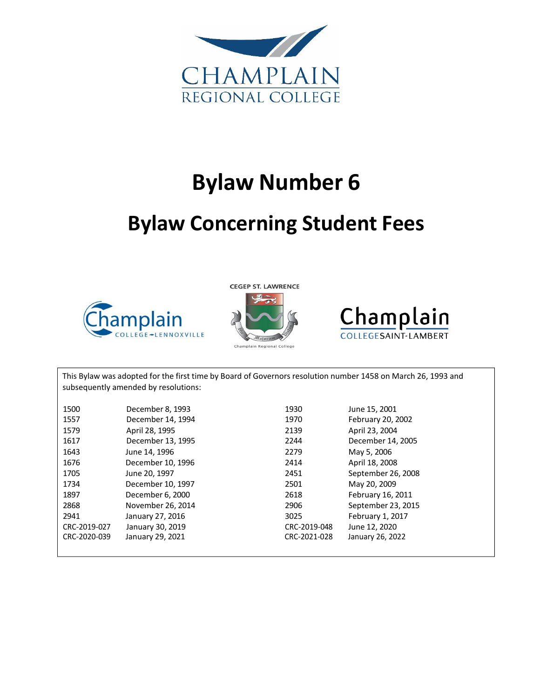

# **Bylaw Number 6**

# **Bylaw Concerning Student Fees**



**CEGEP ST. LAWRENCE** 





This Bylaw was adopted for the first time by Board of Governors resolution number 1458 on March 26, 1993 and subsequently amended by resolutions:

| 1500         | December 8, 1993  |
|--------------|-------------------|
| 1557         | December 14, 1994 |
| 1579         | April 28, 1995    |
| 1617         | December 13, 1995 |
| 1643         | June 14, 1996     |
| 1676         | December 10, 1996 |
| 1705         | June 20, 1997     |
| 1734         | December 10, 1997 |
| 1897         | December 6, 2000  |
| 2868         | November 26, 2014 |
| 2941         | January 27, 2016  |
| CRC-2019-027 | January 30, 2019  |
| CRC-2020-039 | January 29, 2021  |
|              |                   |

1930 June 15, 2001 1970 February 20, 2002 1579 April 28, 1995 2139 April 23, 2004 1617 December 13, 1995 2244 December 14, 2005 2279 May 5, 2006 2414 **April 18, 2008** 1705 June 20, 1997 2451 September 26, 2008 2501 May 20, 2009 2618 February 16, 2011 2868 November 26, 2014 2906 September 23, 2015 2941 January 27, 2016 3025 February 1, 2017 CRC-2019-048 June 12, 2020 CRC-2020-039 January 29, 2021 CRC-2021-028 January 26, 2022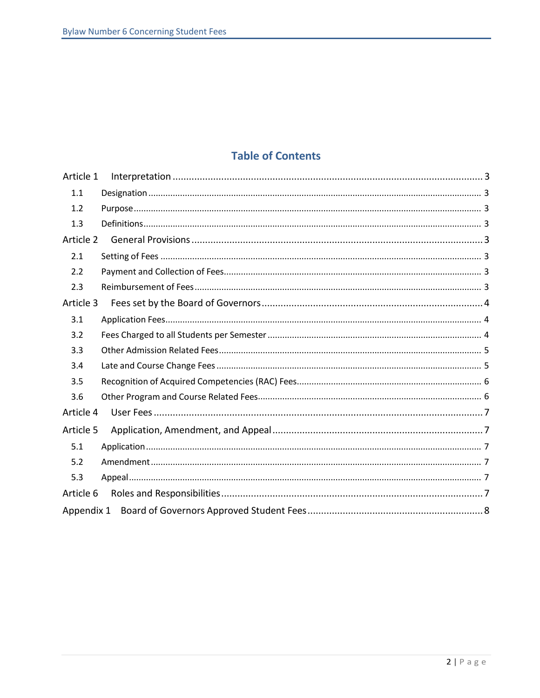## **Table of Contents**

| Article 1 |  |
|-----------|--|
| 1.1       |  |
| 1.2       |  |
| 1.3       |  |
| Article 2 |  |
| 2.1       |  |
| 2.2       |  |
| 2.3       |  |
| Article 3 |  |
| 3.1       |  |
| 3.2       |  |
| 3.3       |  |
| 3.4       |  |
| 3.5       |  |
| 3.6       |  |
| Article 4 |  |
| Article 5 |  |
| 5.1       |  |
| 5.2       |  |
| 5.3       |  |
| Article 6 |  |
|           |  |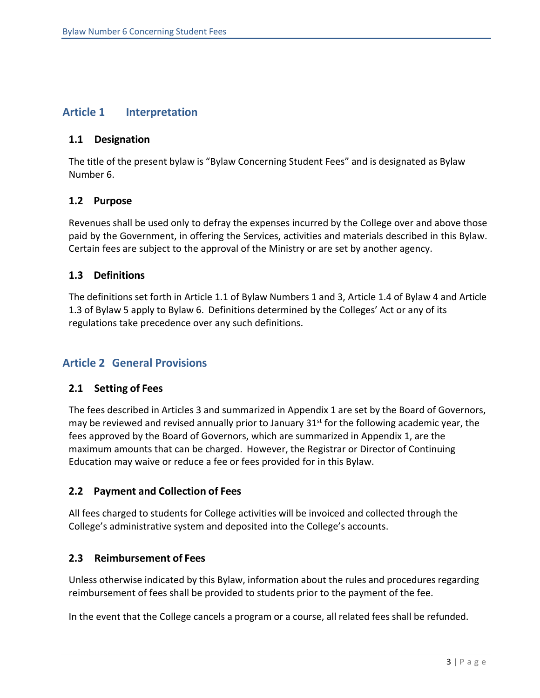## <span id="page-2-0"></span>**Article 1 Interpretation**

#### <span id="page-2-1"></span>**1.1 Designation**

The title of the present bylaw is "Bylaw Concerning Student Fees" and is designated as Bylaw Number 6.

#### <span id="page-2-2"></span>**1.2 Purpose**

Revenues shall be used only to defray the expenses incurred by the College over and above those paid by the Government, in offering the Services, activities and materials described in this Bylaw. Certain fees are subject to the approval of the Ministry or are set by another agency.

#### <span id="page-2-3"></span>**1.3 Definitions**

The definitions set forth in Article 1.1 of Bylaw Numbers 1 and 3, Article 1.4 of Bylaw 4 and Article 1.3 of Bylaw 5 apply to Bylaw 6. Definitions determined by the Colleges' Act or any of its regulations take precedence over any such definitions.

## <span id="page-2-5"></span><span id="page-2-4"></span>**Article 2 General Provisions**

#### **2.1 Setting of Fees**

The fees described in Articles 3 and summarized in Appendix 1 are set by the Board of Governors, may be reviewed and revised annually prior to January  $31<sup>st</sup>$  for the following academic year, the fees approved by the Board of Governors, which are summarized in Appendix 1, are the maximum amounts that can be charged. However, the Registrar or Director of Continuing Education may waive or reduce a fee or fees provided for in this Bylaw.

#### <span id="page-2-6"></span>**2.2 Payment and Collection of Fees**

All fees charged to students for College activities will be invoiced and collected through the College's administrative system and deposited into the College's accounts.

#### <span id="page-2-7"></span>**2.3 Reimbursement of Fees**

Unless otherwise indicated by this Bylaw, information about the rules and procedures regarding reimbursement of fees shall be provided to students prior to the payment of the fee.

In the event that the College cancels a program or a course, all related fees shall be refunded.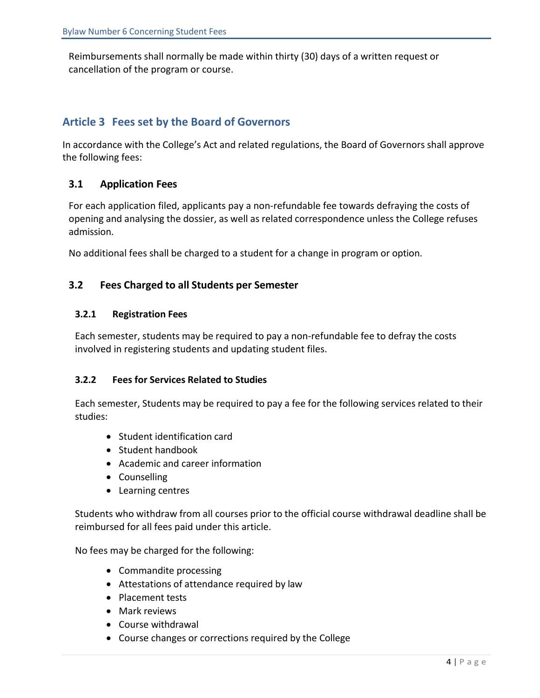Reimbursements shall normally be made within thirty (30) days of a written request or cancellation of the program or course.

## <span id="page-3-0"></span>**Article 3 Fees set by the Board of Governors**

In accordance with the College's Act and related regulations, the Board of Governors shall approve the following fees:

### <span id="page-3-1"></span>**3.1 Application Fees**

For each application filed, applicants pay a non-refundable fee towards defraying the costs of opening and analysing the dossier, as well as related correspondence unless the College refuses admission.

No additional fees shall be charged to a student for a change in program or option.

#### <span id="page-3-2"></span>**3.2 Fees Charged to all Students per Semester**

#### **3.2.1 Registration Fees**

Each semester, students may be required to pay a non-refundable fee to defray the costs involved in registering students and updating student files.

#### **3.2.2 Fees for Services Related to Studies**

Each semester, Students may be required to pay a fee for the following services related to their studies:

- Student identification card
- Student handbook
- Academic and career information
- Counselling
- Learning centres

Students who withdraw from all courses prior to the official course withdrawal deadline shall be reimbursed for all fees paid under this article.

No fees may be charged for the following:

- Commandite processing
- Attestations of attendance required by law
- Placement tests
- Mark reviews
- Course withdrawal
- Course changes or corrections required by the College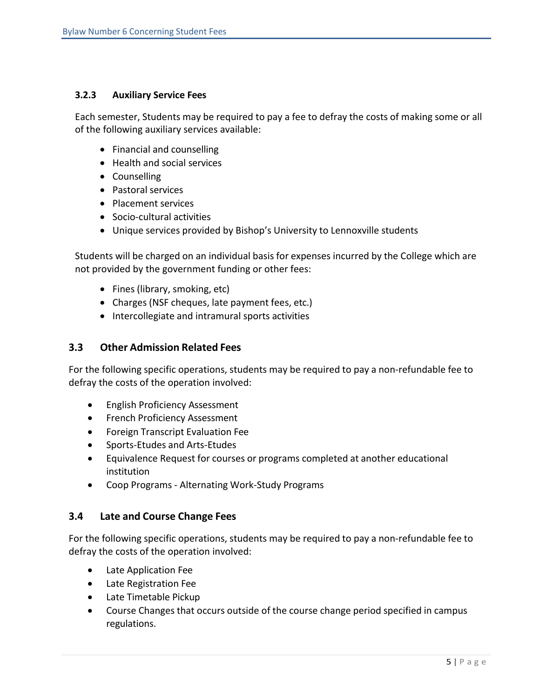#### **3.2.3 Auxiliary Service Fees**

Each semester, Students may be required to pay a fee to defray the costs of making some or all of the following auxiliary services available:

- Financial and counselling
- Health and social services
- Counselling
- Pastoral services
- Placement services
- Socio-cultural activities
- Unique services provided by Bishop's University to Lennoxville students

Students will be charged on an individual basis for expenses incurred by the College which are not provided by the government funding or other fees:

- Fines (library, smoking, etc)
- Charges (NSF cheques, late payment fees, etc.)
- Intercollegiate and intramural sports activities

#### <span id="page-4-0"></span>**3.3 Other Admission Related Fees**

For the following specific operations, students may be required to pay a non-refundable fee to defray the costs of the operation involved:

- English Proficiency Assessment
- French Proficiency Assessment
- Foreign Transcript Evaluation Fee
- Sports-Etudes and Arts-Etudes
- Equivalence Request for courses or programs completed at another educational institution
- Coop Programs Alternating Work-Study Programs

#### <span id="page-4-1"></span>**3.4 Late and Course Change Fees**

For the following specific operations, students may be required to pay a non-refundable fee to defray the costs of the operation involved:

- Late Application Fee
- Late Registration Fee
- Late Timetable Pickup
- Course Changes that occurs outside of the course change period specified in campus regulations.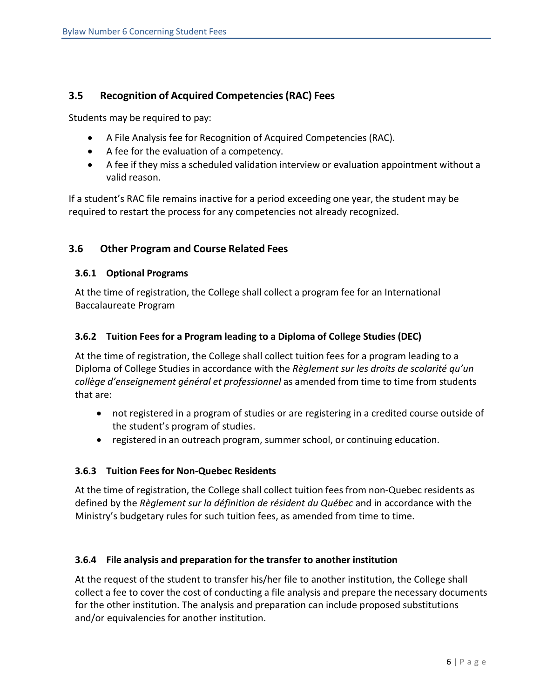### <span id="page-5-0"></span>**3.5 Recognition of Acquired Competencies(RAC) Fees**

Students may be required to pay:

- A File Analysis fee for Recognition of Acquired Competencies (RAC).
- A fee for the evaluation of a competency.
- A fee if they miss a scheduled validation interview or evaluation appointment without a valid reason.

If a student's RAC file remains inactive for a period exceeding one year, the student may be required to restart the process for any competencies not already recognized.

#### <span id="page-5-1"></span>**3.6 Other Program and Course Related Fees**

#### **3.6.1 Optional Programs**

At the time of registration, the College shall collect a program fee for an International Baccalaureate Program

#### **3.6.2 Tuition Fees for a Program leading to a Diploma of College Studies (DEC)**

At the time of registration, the College shall collect tuition fees for a program leading to a Diploma of College Studies in accordance with the *Règlement sur les droits de scolarité qu'un collège d'enseignement général et professionnel* as amended from time to time from students that are:

- not registered in a program of studies or are registering in a credited course outside of the student's program of studies.
- registered in an outreach program, summer school, or continuing education.

#### **3.6.3 Tuition Fees for Non-Quebec Residents**

At the time of registration, the College shall collect tuition fees from non-Quebec residents as defined by the *Règlement sur la définition de résident du Québec* and in accordance with the Ministry's budgetary rules for such tuition fees, as amended from time to time.

#### **3.6.4 File analysis and preparation for the transfer to another institution**

At the request of the student to transfer his/her file to another institution, the College shall collect a fee to cover the cost of conducting a file analysis and prepare the necessary documents for the other institution. The analysis and preparation can include proposed substitutions and/or equivalencies for another institution.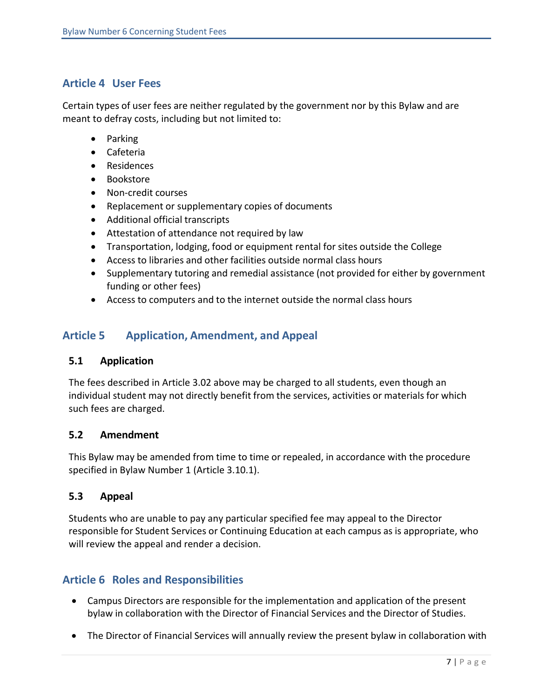## <span id="page-6-0"></span>**Article 4 User Fees**

Certain types of user fees are neither regulated by the government nor by this Bylaw and are meant to defray costs, including but not limited to:

- Parking
- Cafeteria
- Residences
- Bookstore
- Non-credit courses
- Replacement or supplementary copies of documents
- Additional official transcripts
- Attestation of attendance not required by law
- Transportation, lodging, food or equipment rental for sites outside the College
- Access to libraries and other facilities outside normal class hours
- Supplementary tutoring and remedial assistance (not provided for either by government funding or other fees)
- <span id="page-6-1"></span>• Access to computers and to the internet outside the normal class hours

## <span id="page-6-2"></span>**Article 5 Application, Amendment, and Appeal**

#### **5.1 Application**

The fees described in Article 3.02 above may be charged to all students, even though an individual student may not directly benefit from the services, activities or materials for which such fees are charged.

#### <span id="page-6-3"></span>**5.2 Amendment**

This Bylaw may be amended from time to time or repealed, in accordance with the procedure specified in Bylaw Number 1 (Article 3.10.1).

#### <span id="page-6-4"></span>**5.3 Appeal**

Students who are unable to pay any particular specified fee may appeal to the Director responsible for Student Services or Continuing Education at each campus as is appropriate, who will review the appeal and render a decision.

#### <span id="page-6-5"></span>**Article 6 Roles and Responsibilities**

- Campus Directors are responsible for the implementation and application of the present bylaw in collaboration with the Director of Financial Services and the Director of Studies.
- The Director of Financial Services will annually review the present bylaw in collaboration with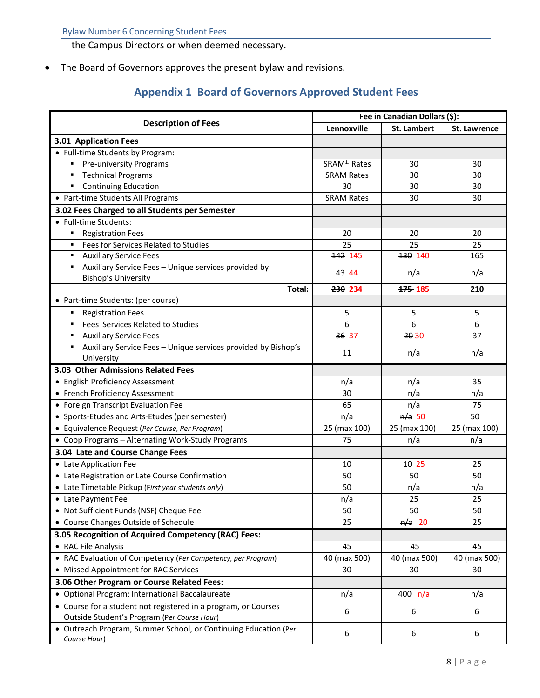the Campus Directors or when deemed necessary.

<span id="page-7-0"></span>• The Board of Governors approves the present bylaw and revisions.

## **Appendix 1 Board of Governors Approved Student Fees**

|                                                                                                      | Fee in Canadian Dollars (\$): |                    |                     |  |
|------------------------------------------------------------------------------------------------------|-------------------------------|--------------------|---------------------|--|
| <b>Description of Fees</b>                                                                           | Lennoxville                   | <b>St. Lambert</b> | <b>St. Lawrence</b> |  |
| 3.01 Application Fees                                                                                |                               |                    |                     |  |
| • Full-time Students by Program:                                                                     |                               |                    |                     |  |
| Pre-university Programs                                                                              | SRAM <sup>1</sup> Rates       | 30                 | 30                  |  |
| <b>Technical Programs</b><br>٠                                                                       | <b>SRAM Rates</b>             | 30                 | 30                  |  |
| Continuing Education                                                                                 | 30                            | 30                 | 30                  |  |
| • Part-time Students All Programs                                                                    | <b>SRAM Rates</b>             | 30                 | 30                  |  |
| 3.02 Fees Charged to all Students per Semester                                                       |                               |                    |                     |  |
| • Full-time Students:                                                                                |                               |                    |                     |  |
| <b>Registration Fees</b><br>٠                                                                        | 20                            | 20                 | 20                  |  |
| Fees for Services Related to Studies<br>٠                                                            | 25                            | 25                 | 25                  |  |
| <b>Auxiliary Service Fees</b><br>$\blacksquare$                                                      | 142 145                       | 130 140            | 165                 |  |
| Auxiliary Service Fees - Unique services provided by<br>$\blacksquare$<br><b>Bishop's University</b> | 43 44                         | n/a                | n/a                 |  |
| Total:                                                                                               | 230 234                       | 175 185            | 210                 |  |
| • Part-time Students: (per course)                                                                   |                               |                    |                     |  |
| <b>Registration Fees</b>                                                                             | 5                             | 5                  | 5                   |  |
| Fees Services Related to Studies<br>$\blacksquare$                                                   | 6                             | 6                  | 6                   |  |
| Auxiliary Service Fees                                                                               | 36 37                         | 20 30              | 37                  |  |
| Auxiliary Service Fees - Unique services provided by Bishop's                                        | 11                            | n/a                | n/a                 |  |
| University                                                                                           |                               |                    |                     |  |
| 3.03 Other Admissions Related Fees                                                                   |                               |                    |                     |  |
| • English Proficiency Assessment                                                                     | n/a                           | n/a                | 35                  |  |
| • French Proficiency Assessment                                                                      | 30                            | n/a                | n/a                 |  |
| • Foreign Transcript Evaluation Fee                                                                  | 65                            | n/a                | 75                  |  |
| • Sports-Etudes and Arts-Etudes (per semester)                                                       | n/a                           | $n/a$ 50           | 50                  |  |
| • Equivalence Request (Per Course, Per Program)                                                      | 25 (max 100)                  | 25 (max 100)       | 25 (max 100)        |  |
| • Coop Programs - Alternating Work-Study Programs                                                    | 75                            | n/a                | n/a                 |  |
| 3.04 Late and Course Change Fees                                                                     |                               |                    |                     |  |
| • Late Application Fee                                                                               | 10                            | 10 25              | 25                  |  |
| • Late Registration or Late Course Confirmation                                                      | 50                            | 50                 | 50                  |  |
| • Late Timetable Pickup (First year students only)                                                   | 50                            | n/a                | n/a                 |  |
| • Late Payment Fee                                                                                   | n/a                           | 25                 | 25                  |  |
| • Not Sufficient Funds (NSF) Cheque Fee                                                              | 50                            | 50                 | 50                  |  |
| • Course Changes Outside of Schedule                                                                 | 25                            | $n/a$ 20           | 25                  |  |
| 3.05 Recognition of Acquired Competency (RAC) Fees:                                                  |                               |                    |                     |  |
| • RAC File Analysis                                                                                  | 45                            | 45                 | 45                  |  |
| • RAC Evaluation of Competency (Per Competency, per Program)                                         | 40 (max 500)                  | 40 (max 500)       | 40 (max 500)        |  |
| • Missed Appointment for RAC Services                                                                | 30                            | 30                 | 30                  |  |
| 3.06 Other Program or Course Related Fees:                                                           |                               |                    |                     |  |
| · Optional Program: International Baccalaureate                                                      | n/a                           | 400 n/a            | n/a                 |  |
| • Course for a student not registered in a program, or Courses                                       |                               |                    |                     |  |
| Outside Student's Program (Per Course Hour)                                                          | 6                             | 6                  | 6                   |  |
| • Outreach Program, Summer School, or Continuing Education (Per                                      |                               |                    | 6                   |  |
| Course Hour)                                                                                         | 6                             | 6                  |                     |  |